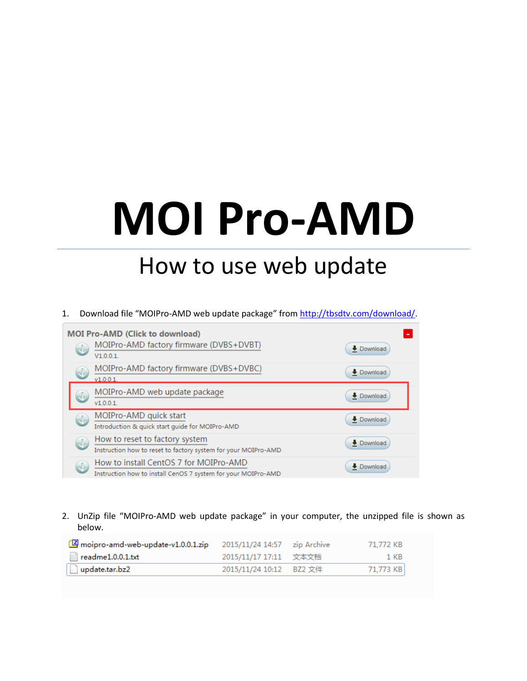## **MOI Pro-AMD**

## How to use web update

1. Download file "MOIPro-AMD web update package" fro[m http://tbsdtv.com/download/.](http://tbsdtv.com/download/)



2. UnZip file "MOIPro-AMD web update package" in your computer, the unzipped file is shown as below.

| moipro-amd-web-update-v1.0.0.1.zip      |                         | 71.772 KB |
|-----------------------------------------|-------------------------|-----------|
| $\mathbb{\mathbb{R}}$ readme1.0.0.1.txt | 2015/11/17 17:11  文本文档  | - 1 KB    |
| $\Box$ update.tar.bz2                   | 2015/11/24 10:12 BZ2 文件 | 71.773 KB |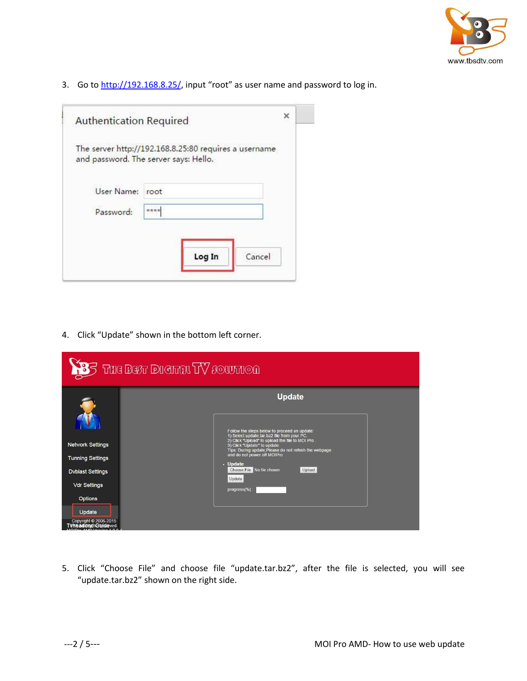

3. Go to [http://192.168.8.25/,](http://192.168.8.25/) input "root" as user name and password to log in.

| The server http://192.168.8.25:80 requires a username<br>and password. The server says: Hello.<br>User Name:<br>root |
|----------------------------------------------------------------------------------------------------------------------|
|                                                                                                                      |
|                                                                                                                      |
| ****<br>Password:                                                                                                    |

4. Click "Update" shown in the bottom left corner.

|                                                          | $35$ The Best Dieimht $\rm W$ fourmon                                                                                                     |
|----------------------------------------------------------|-------------------------------------------------------------------------------------------------------------------------------------------|
|                                                          | <b>Update</b>                                                                                                                             |
|                                                          | Follow the steps below to proceed an update:<br>1) Select update tar bz2 file from your PC.                                               |
| <b>Network Settings</b>                                  | 2) Click "Upload" to upload the file to MOI Pro.<br>3) Click "Update" to update.<br>Tips: During update, Please do not refesh the webpage |
| <b>Tunning Settings</b>                                  | and do not power off MOIPro<br>· Update                                                                                                   |
| <b>Dvblast Settings</b>                                  | Choose File No file chosen<br>Upload                                                                                                      |
| <b>Vdr Settings</b>                                      | Update<br>progress(%):                                                                                                                    |
| <b>Options</b>                                           |                                                                                                                                           |
| Update                                                   |                                                                                                                                           |
| Copyright © 2006-2015<br>T <b>vheadersdic Guideved</b> . |                                                                                                                                           |

5. Click "Choose File" and choose file "update.tar.bz2", after the file is selected, you will see "update.tar.bz2" shown on the right side.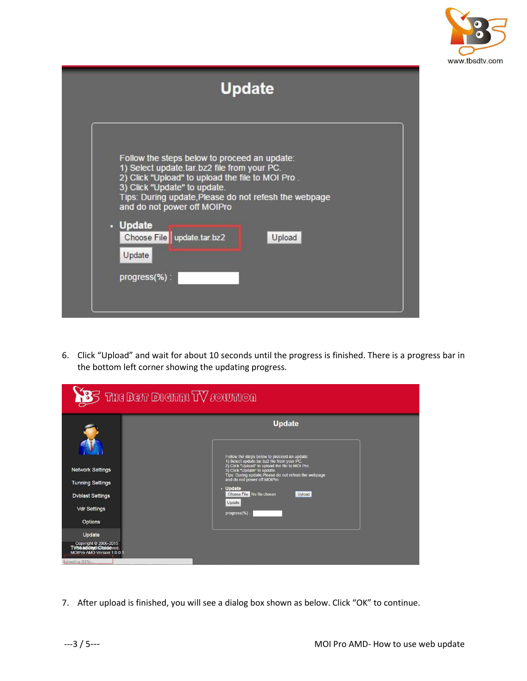

| <b>Update</b>                                                                                                                                                                                                                                                                                                                                           |  |
|---------------------------------------------------------------------------------------------------------------------------------------------------------------------------------------------------------------------------------------------------------------------------------------------------------------------------------------------------------|--|
| Follow the steps below to proceed an update:<br>1) Select update.tar.bz2 file from your PC.<br>2) Click "Upload" to upload the file to MOI Pro.<br>3) Click "Update" to update.<br>Tips: During update, Please do not refesh the webpage<br>and do not power off MOIPro<br>. Update<br>Choose File   update.tar.bz2<br>Upload<br>Update<br>progress(%): |  |

6. Click "Upload" and wait for about 10 seconds until the progress is finished. There is a progress bar in the bottom left corner showing the updating progress.

|                                                                                                                                                                                                                             | <b>83</b> The Best Diemal TV southon                                                                                                                                                                                                                                                                                                                                  |
|-----------------------------------------------------------------------------------------------------------------------------------------------------------------------------------------------------------------------------|-----------------------------------------------------------------------------------------------------------------------------------------------------------------------------------------------------------------------------------------------------------------------------------------------------------------------------------------------------------------------|
| <b>Network Settings</b><br><b>Tunning Settings</b><br><b>Dvblast Settings</b><br><b>Vdr Settings</b><br><b>Options</b><br>Update<br>Copyright © 2006-2015<br>T <b>Vhe ademptit Guide</b> ved.<br>MOIPro-AMD Version 1.0.0.1 | <b>Update</b><br>Follow the steps below to proceed an update:<br>1) Select update.tar.bz2 file from your PC.<br>2) Click "Upload" to upload the file to MOI Pro.<br>3) Click "Update" to update.<br>Tips: During update, Please do not refesh the webpage<br>and do not power off MOIPro<br>· Update<br>Choose File No file chosen<br>Upload<br>Update<br>progress(%) |
| Uploading (92%)                                                                                                                                                                                                             |                                                                                                                                                                                                                                                                                                                                                                       |

7. After upload is finished, you will see a dialog box shown as below. Click "OK" to continue.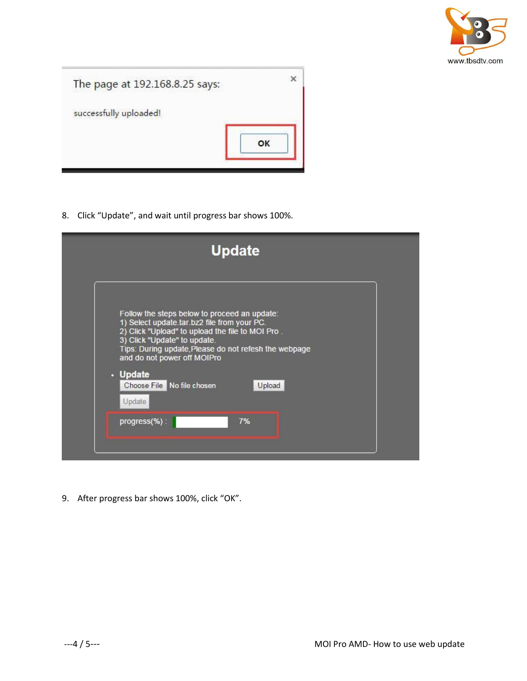

| The page at 192.168.8.25 says: | ×  |
|--------------------------------|----|
| successfully uploaded!         |    |
|                                | OK |
|                                |    |

8. Click "Update", and wait until progress bar shows 100%.



9. After progress bar shows 100%, click "OK".